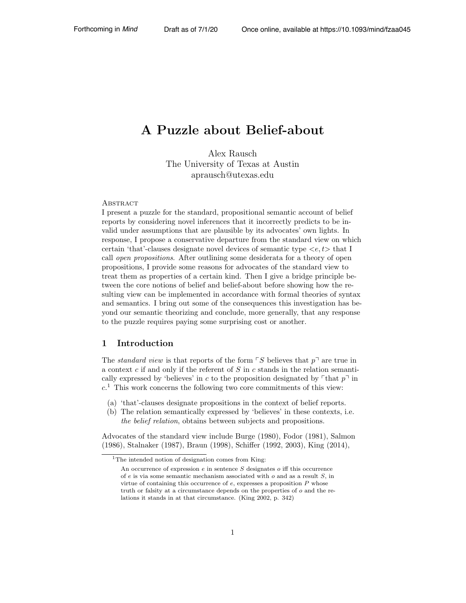# A Puzzle about Belief-about

Alex Rausch The University of Texas at Austin aprausch@utexas.edu

#### **ABSTRACT**

I present a puzzle for the standard, propositional semantic account of belief reports by considering novel inferences that it incorrectly predicts to be invalid under assumptions that are plausible by its advocates' own lights. In response, I propose a conservative departure from the standard view on which certain 'that'-clauses designate novel devices of semantic type *<e, t>* that I call *open propositions*. After outlining some desiderata for a theory of open propositions, I provide some reasons for advocates of the standard view to treat them as properties of a certain kind. Then I give a bridge principle between the core notions of belief and belief-about before showing how the resulting view can be implemented in accordance with formal theories of syntax and semantics. I bring out some of the consequences this investigation has beyond our semantic theorizing and conclude, more generally, that any response to the puzzle requires paying some surprising cost or another.

#### 1 Introduction

The *standard view* is that reports of the form  $\ulcorner S$  believes that  $p\urcorner$  are true in a context *c* if and only if the referent of *S* in *c* stands in the relation semantically expressed by 'believes' in *c* to the proposition designated by  $\lceil \text{that } p \rceil$  in  $c<sup>1</sup>$  This work concerns the following two core commitments of this view:

- (a) 'that'-clauses designate propositions in the context of belief reports.
- (b) The relation semantically expressed by 'believes' in these contexts, i.e. *the belief relation*, obtains between subjects and propositions.

Advocates of the standard view include Burge (1980), Fodor (1981), Salmon (1986), Stalnaker (1987), Braun (1998), Schiffer (1992, 2003), King (2014),

<sup>&</sup>lt;sup>1</sup>The intended notion of designation comes from King:

An occurrence of expression  $e$  in sentence  $S$  designates  $o$  iff this occurrence of *e* is via some semantic mechanism associated with *o* and as a result *S*, in virtue of containing this occurrence of *e*, expresses a proposition *P* whose truth or falsity at a circumstance depends on the properties of *o* and the relations it stands in at that circumstance. (King 2002, p. 342)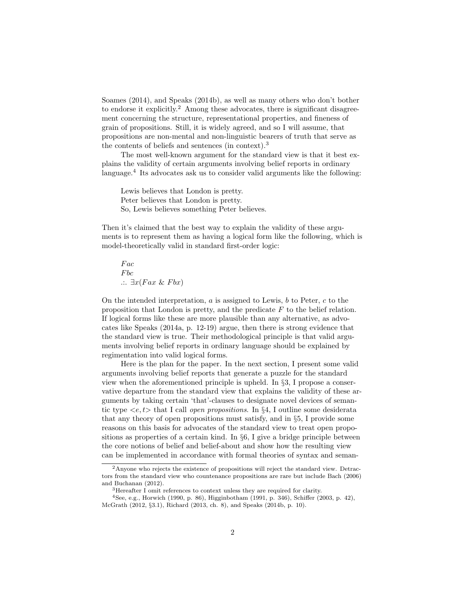Soames (2014), and Speaks (2014b), as well as many others who don't bother to endorse it explicitly.<sup>2</sup> Among these advocates, there is significant disagreement concerning the structure, representational properties, and fineness of grain of propositions. Still, it is widely agreed, and so I will assume, that propositions are non-mental and non-linguistic bearers of truth that serve as the contents of beliefs and sentences (in context).<sup>3</sup>

The most well-known argument for the standard view is that it best explains the validity of certain arguments involving belief reports in ordinary language.<sup>4</sup> Its advocates ask us to consider valid arguments like the following:

Lewis believes that London is pretty. Peter believes that London is pretty. So, Lewis believes something Peter believes.

Then it's claimed that the best way to explain the validity of these arguments is to represent them as having a logical form like the following, which is model-theoretically valid in standard first-order logic:

*F ac F bc*  $\therefore$   $\exists x (Fax \& Fbx)$ 

On the intended interpretation, *a* is assigned to Lewis, *b* to Peter, *c* to the proposition that London is pretty, and the predicate *F* to the belief relation. If logical forms like these are more plausible than any alternative, as advocates like Speaks (2014a, p. 12-19) argue, then there is strong evidence that the standard view is true. Their methodological principle is that valid arguments involving belief reports in ordinary language should be explained by regimentation into valid logical forms.

Here is the plan for the paper. In the next section, I present some valid arguments involving belief reports that generate a puzzle for the standard view when the aforementioned principle is upheld. In *§*3, I propose a conservative departure from the standard view that explains the validity of these arguments by taking certain 'that'-clauses to designate novel devices of semantic type *<e, t>* that I call *open propositions*. In *§*4, I outline some desiderata that any theory of open propositions must satisfy, and in *§*5, I provide some reasons on this basis for advocates of the standard view to treat open propositions as properties of a certain kind. In *§*6, I give a bridge principle between the core notions of belief and belief-about and show how the resulting view can be implemented in accordance with formal theories of syntax and seman-

<sup>2</sup>Anyone who rejects the existence of propositions will reject the standard view. Detractors from the standard view who countenance propositions are rare but include Bach (2006) and Buchanan (2012).

<sup>3</sup>Hereafter I omit references to context unless they are required for clarity.

 $4$ See, e.g., Horwich (1990, p. 86), Higginbotham (1991, p. 346), Schiffer (2003, p. 42), McGrath (2012, *§*3.1), Richard (2013, ch. 8), and Speaks (2014b, p. 10).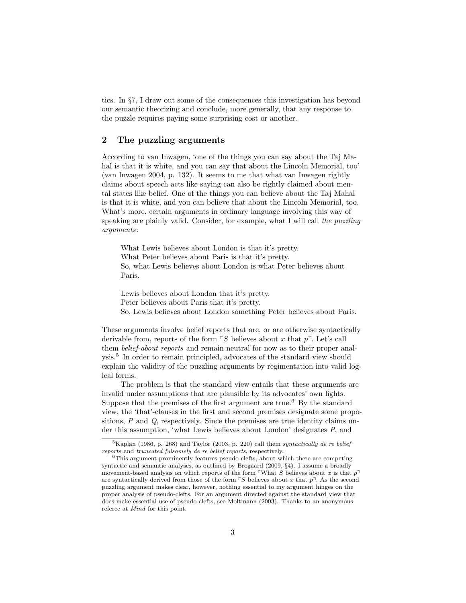tics. In *§*7, I draw out some of the consequences this investigation has beyond our semantic theorizing and conclude, more generally, that any response to the puzzle requires paying some surprising cost or another.

#### 2 The puzzling arguments

According to van Inwagen, 'one of the things you can say about the Taj Mahal is that it is white, and you can say that about the Lincoln Memorial, too' (van Inwagen 2004, p. 132). It seems to me that what van Inwagen rightly claims about speech acts like saying can also be rightly claimed about mental states like belief. One of the things you can believe about the Taj Mahal is that it is white, and you can believe that about the Lincoln Memorial, too. What's more, certain arguments in ordinary language involving this way of speaking are plainly valid. Consider, for example, what I will call *the puzzling arguments*:

What Lewis believes about London is that it's pretty. What Peter believes about Paris is that it's pretty. So, what Lewis believes about London is what Peter believes about Paris.

Lewis believes about London that it's pretty. Peter believes about Paris that it's pretty. So, Lewis believes about London something Peter believes about Paris.

These arguments involve belief reports that are, or are otherwise syntactically derivable from, reports of the form  $\ulcorner S$  believes about x that  $p\urcorner$ . Let's call them *belief-about reports* and remain neutral for now as to their proper analysis.<sup>5</sup> In order to remain principled, advocates of the standard view should explain the validity of the puzzling arguments by regimentation into valid logical forms.

The problem is that the standard view entails that these arguments are invalid under assumptions that are plausible by its advocates' own lights. Suppose that the premises of the first argument are true.<sup>6</sup> By the standard view, the 'that'-clauses in the first and second premises designate some propositions, *P* and *Q*, respectively. Since the premises are true identity claims under this assumption, 'what Lewis believes about London' designates *P*, and

<sup>5</sup>Kaplan (1986, p. 268) and Taylor (2003, p. 220) call them *syntactically de re belief reports* and *truncated fulsomely de re belief reports*, respectively.

 $6$ This argument prominently features pseudo-clefts, about which there are competing syntactic and semantic analyses, as outlined by Brogaard (2009, *§*4). I assume a broadly movement-based analysis on which reports of the form What  $S$  believes about  $x$  is that  $p<sup>+</sup>$ are syntactically derived from those of the form  $\ulcorner S$  believes about x that  $p\urcorner$ . As the second puzzling argument makes clear, however, nothing essential to my argument hinges on the proper analysis of pseudo-clefts. For an argument directed against the standard view that does make essential use of pseudo-clefts, see Moltmann (2003). Thanks to an anonymous referee at *Mind* for this point.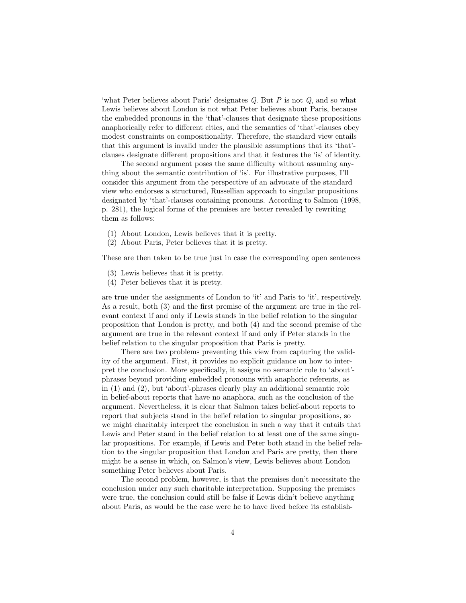'what Peter believes about Paris' designates *Q*. But *P* is not *Q*, and so what Lewis believes about London is not what Peter believes about Paris, because the embedded pronouns in the 'that'-clauses that designate these propositions anaphorically refer to different cities, and the semantics of 'that'-clauses obey modest constraints on compositionality. Therefore, the standard view entails that this argument is invalid under the plausible assumptions that its 'that' clauses designate different propositions and that it features the 'is' of identity.

The second argument poses the same difficulty without assuming anything about the semantic contribution of 'is'. For illustrative purposes, I'll consider this argument from the perspective of an advocate of the standard view who endorses a structured, Russellian approach to singular propositions designated by 'that'-clauses containing pronouns. According to Salmon (1998, p. 281), the logical forms of the premises are better revealed by rewriting them as follows:

- (1) About London, Lewis believes that it is pretty.
- (2) About Paris, Peter believes that it is pretty.

These are then taken to be true just in case the corresponding open sentences

- (3) Lewis believes that it is pretty.
- (4) Peter believes that it is pretty.

are true under the assignments of London to 'it' and Paris to 'it', respectively. As a result, both (3) and the first premise of the argument are true in the relevant context if and only if Lewis stands in the belief relation to the singular proposition that London is pretty, and both (4) and the second premise of the argument are true in the relevant context if and only if Peter stands in the belief relation to the singular proposition that Paris is pretty.

There are two problems preventing this view from capturing the validity of the argument. First, it provides no explicit guidance on how to interpret the conclusion. More specifically, it assigns no semantic role to 'about' phrases beyond providing embedded pronouns with anaphoric referents, as in (1) and (2), but 'about'-phrases clearly play an additional semantic role in belief-about reports that have no anaphora, such as the conclusion of the argument. Nevertheless, it is clear that Salmon takes belief-about reports to report that subjects stand in the belief relation to singular propositions, so we might charitably interpret the conclusion in such a way that it entails that Lewis and Peter stand in the belief relation to at least one of the same singular propositions. For example, if Lewis and Peter both stand in the belief relation to the singular proposition that London and Paris are pretty, then there might be a sense in which, on Salmon's view, Lewis believes about London something Peter believes about Paris.

The second problem, however, is that the premises don't necessitate the conclusion under any such charitable interpretation. Supposing the premises were true, the conclusion could still be false if Lewis didn't believe anything about Paris, as would be the case were he to have lived before its establish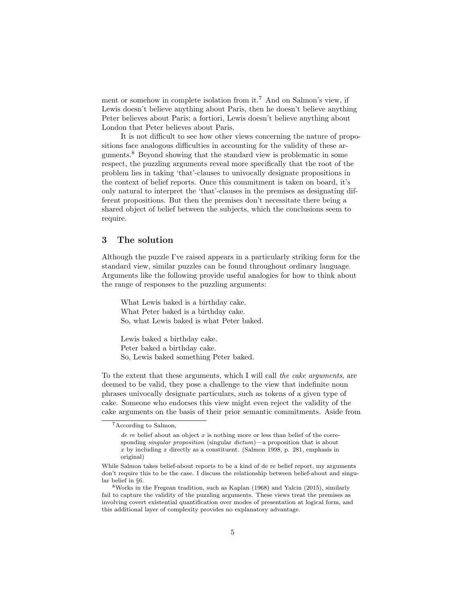ment or somehow in complete isolation from it.<sup>7</sup> And on Salmon's view, if Lewis doesn't believe anything about Paris, then he doesn't believe anything Peter believes about Paris; a fortiori, Lewis doesn't believe anything about London that Peter believes about Paris.

It is not difficult to see how other views concerning the nature of propositions face analogous difficulties in accounting for the validity of these arguments.<sup>8</sup> Beyond showing that the standard view is problematic in some respect, the puzzling arguments reveal more specifically that the root of the problem lies in taking 'that'-clauses to univocally designate propositions in the context of belief reports. Once this commitment is taken on board, it's only natural to interpret the 'that'-clauses in the premises as designating different propositions. But then the premises don't necessitate there being a shared object of belief between the subjects, which the conclusions seem to require.

#### 3 The solution

Although the puzzle I've raised appears in a particularly striking form for the standard view, similar puzzles can be found throughout ordinary language. Arguments like the following provide useful analogies for how to think about the range of responses to the puzzling arguments:

What Lewis baked is a birthday cake. What Peter baked is a birthday cake. So, what Lewis baked is what Peter baked.

Lewis baked a birthday cake. Peter baked a birthday cake. So, Lewis baked something Peter baked.

To the extent that these arguments, which I will call *the cake arguments*, are deemed to be valid, they pose a challenge to the view that indefinite noun phrases univocally designate particulars, such as tokens of a given type of cake. Someone who endorses this view might even reject the validity of the cake arguments on the basis of their prior semantic commitments. Aside from

<sup>7</sup>According to Salmon,

*de re* belief about an object *x* is nothing more or less than belief of the corresponding *singular proposition* (singular *dictum*)––a proposition that is about *x* by including *x* directly as a constituent. (Salmon 1998, p. 281, emphasis in original)

While Salmon takes belief-about reports to be a kind of de re belief report, my arguments don't require this to be the case. I discuss the relationship between belief-about and singular belief in  $\S6$ .

<sup>&</sup>lt;sup>8</sup>Works in the Fregean tradition, such as Kaplan (1968) and Yalcin (2015), similarly fail to capture the validity of the puzzling arguments. These views treat the premises as involving covert existential quantification over modes of presentation at logical form, and this additional layer of complexity provides no explanatory advantage.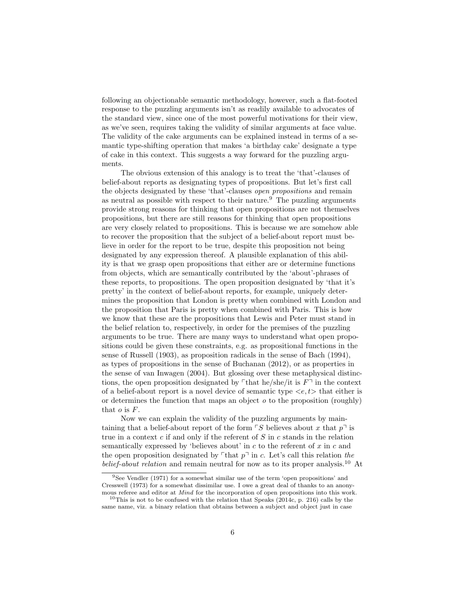following an objectionable semantic methodology, however, such a flat-footed response to the puzzling arguments isn't as readily available to advocates of the standard view, since one of the most powerful motivations for their view, as we've seen, requires taking the validity of similar arguments at face value. The validity of the cake arguments can be explained instead in terms of a semantic type-shifting operation that makes 'a birthday cake' designate a type of cake in this context. This suggests a way forward for the puzzling arguments.

The obvious extension of this analogy is to treat the 'that'-clauses of belief-about reports as designating types of propositions. But let's first call the objects designated by these 'that'-clauses *open propositions* and remain as neutral as possible with respect to their nature.<sup>9</sup> The puzzling arguments provide strong reasons for thinking that open propositions are not themselves propositions, but there are still reasons for thinking that open propositions are very closely related to propositions. This is because we are somehow able to recover the proposition that the subject of a belief-about report must believe in order for the report to be true, despite this proposition not being designated by any expression thereof. A plausible explanation of this ability is that we grasp open propositions that either are or determine functions from objects, which are semantically contributed by the 'about'-phrases of these reports, to propositions. The open proposition designated by 'that it's pretty' in the context of belief-about reports, for example, uniquely determines the proposition that London is pretty when combined with London and the proposition that Paris is pretty when combined with Paris. This is how we know that these are the propositions that Lewis and Peter must stand in the belief relation to, respectively, in order for the premises of the puzzling arguments to be true. There are many ways to understand what open propositions could be given these constraints, e.g. as propositional functions in the sense of Russell (1903), as proposition radicals in the sense of Bach (1994), as types of propositions in the sense of Buchanan (2012), or as properties in the sense of van Inwagen (2004). But glossing over these metaphysical distinctions, the open proposition designated by  $\ulcorner$  that he/she/it is  $F\urcorner$  in the context of a belief-about report is a novel device of semantic type *<e, t>* that either is or determines the function that maps an object *o* to the proposition (roughly) that  $o$  is  $F$ .

Now we can explain the validity of the puzzling arguments by maintaining that a belief-about report of the form  $\ulcorner S$  believes about x that  $p\urcorner$  is true in a context *c* if and only if the referent of *S* in *c* stands in the relation semantically expressed by 'believes about' in *c* to the referent of *x* in *c* and the open proposition designated by  $\ulcorner$  that  $p\urcorner$  in *c*. Let's call this relation *the belief-about relation* and remain neutral for now as to its proper analysis.<sup>10</sup> At

<sup>9</sup>See Vendler (1971) for a somewhat similar use of the term 'open propositions' and Cresswell (1973) for a somewhat dissimilar use. I owe a great deal of thanks to an anonymous referee and editor at *Mind* for the incorporation of open propositions into this work.

 $10$ This is not to be confused with the relation that Speaks (2014c, p. 216) calls by the same name, viz. a binary relation that obtains between a subject and object just in case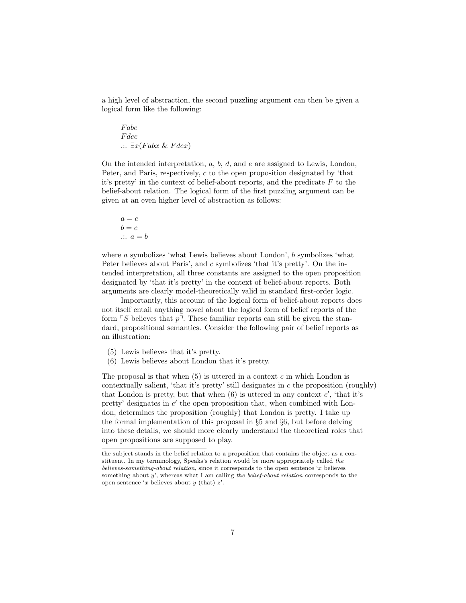a high level of abstraction, the second puzzling argument can then be given a logical form like the following:

*F abc F dec*  $\therefore$   $\exists x (Fabx \& Fdex)$ 

On the intended interpretation, *a*, *b*, *d*, and *e* are assigned to Lewis, London, Peter, and Paris, respectively, *c* to the open proposition designated by 'that it's pretty' in the context of belief-about reports, and the predicate *F* to the belief-about relation. The logical form of the first puzzling argument can be given at an even higher level of abstraction as follows:

$$
a = c
$$
  

$$
b = c
$$
  

$$
\therefore a = b
$$

where *a* symbolizes 'what Lewis believes about London', *b* symbolizes 'what Peter believes about Paris', and *c* symbolizes 'that it's pretty'. On the intended interpretation, all three constants are assigned to the open proposition designated by 'that it's pretty' in the context of belief-about reports. Both arguments are clearly model-theoretically valid in standard first-order logic.

Importantly, this account of the logical form of belief-about reports does not itself entail anything novel about the logical form of belief reports of the form  $\ulcorner S$  believes that  $p\urcorner$ . These familiar reports can still be given the standard, propositional semantics. Consider the following pair of belief reports as an illustration:

- (5) Lewis believes that it's pretty.
- (6) Lewis believes about London that it's pretty.

The proposal is that when (5) is uttered in a context *c* in which London is contextually salient, 'that it's pretty' still designates in *c* the proposition (roughly) that London is pretty, but that when  $(6)$  is uttered in any context  $c'$ , 'that it's pretty' designates in  $c'$  the open proposition that, when combined with London, determines the proposition (roughly) that London is pretty. I take up the formal implementation of this proposal in *§*5 and *§*6, but before delving into these details, we should more clearly understand the theoretical roles that open propositions are supposed to play.

the subject stands in the belief relation to a proposition that contains the object as a constituent. In my terminology, Speaks's relation would be more appropriately called *the believes-something-about relation*, since it corresponds to the open sentence '*x* believes something about *y*', whereas what I am calling *the belief-about relation* corresponds to the open sentence '*x* believes about *y* (that) *z*'.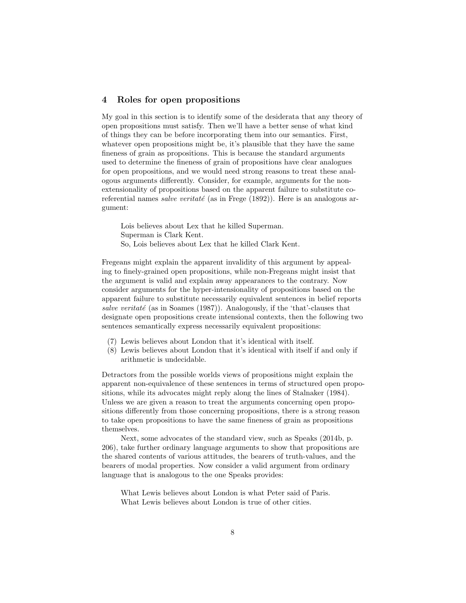#### 4 Roles for open propositions

My goal in this section is to identify some of the desiderata that any theory of open propositions must satisfy. Then we'll have a better sense of what kind of things they can be before incorporating them into our semantics. First, whatever open propositions might be, it's plausible that they have the same fineness of grain as propositions. This is because the standard arguments used to determine the fineness of grain of propositions have clear analogues for open propositions, and we would need strong reasons to treat these analogous arguments differently. Consider, for example, arguments for the nonextensionality of propositions based on the apparent failure to substitute coreferential names *salve veritaté* (as in Frege (1892)). Here is an analogous argument:

Lois believes about Lex that he killed Superman. Superman is Clark Kent. So, Lois believes about Lex that he killed Clark Kent.

Fregeans might explain the apparent invalidity of this argument by appealing to finely-grained open propositions, while non-Fregeans might insist that the argument is valid and explain away appearances to the contrary. Now consider arguments for the hyper-intensionality of propositions based on the apparent failure to substitute necessarily equivalent sentences in belief reports salve veritaté (as in Soames  $(1987)$ ). Analogously, if the 'that'-clauses that designate open propositions create intensional contexts, then the following two sentences semantically express necessarily equivalent propositions:

- (7) Lewis believes about London that it's identical with itself.
- (8) Lewis believes about London that it's identical with itself if and only if arithmetic is undecidable.

Detractors from the possible worlds views of propositions might explain the apparent non-equivalence of these sentences in terms of structured open propositions, while its advocates might reply along the lines of Stalnaker (1984). Unless we are given a reason to treat the arguments concerning open propositions differently from those concerning propositions, there is a strong reason to take open propositions to have the same fineness of grain as propositions themselves.

Next, some advocates of the standard view, such as Speaks (2014b, p. 206), take further ordinary language arguments to show that propositions are the shared contents of various attitudes, the bearers of truth-values, and the bearers of modal properties. Now consider a valid argument from ordinary language that is analogous to the one Speaks provides:

What Lewis believes about London is what Peter said of Paris. What Lewis believes about London is true of other cities.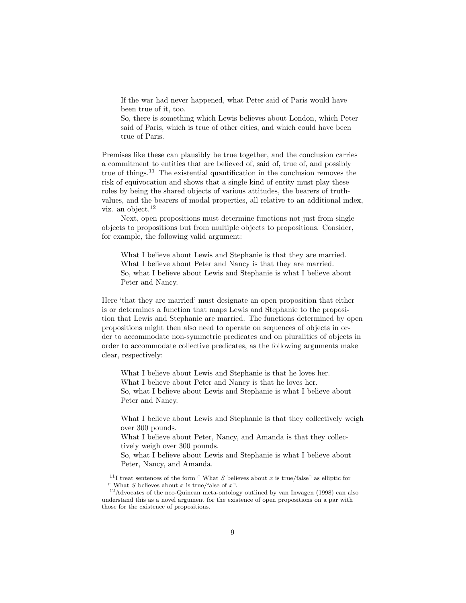If the war had never happened, what Peter said of Paris would have been true of it, too.

So, there is something which Lewis believes about London, which Peter said of Paris, which is true of other cities, and which could have been true of Paris.

Premises like these can plausibly be true together, and the conclusion carries a commitment to entities that are believed of, said of, true of, and possibly true of things.<sup>11</sup> The existential quantification in the conclusion removes the risk of equivocation and shows that a single kind of entity must play these roles by being the shared objects of various attitudes, the bearers of truthvalues, and the bearers of modal properties, all relative to an additional index, viz. an object.<sup>12</sup>

Next, open propositions must determine functions not just from single objects to propositions but from multiple objects to propositions. Consider, for example, the following valid argument:

What I believe about Lewis and Stephanie is that they are married. What I believe about Peter and Nancy is that they are married. So, what I believe about Lewis and Stephanie is what I believe about Peter and Nancy.

Here 'that they are married' must designate an open proposition that either is or determines a function that maps Lewis and Stephanie to the proposition that Lewis and Stephanie are married. The functions determined by open propositions might then also need to operate on sequences of objects in order to accommodate non-symmetric predicates and on pluralities of objects in order to accommodate collective predicates, as the following arguments make clear, respectively:

What I believe about Lewis and Stephanie is that he loves her. What I believe about Peter and Nancy is that he loves her. So, what I believe about Lewis and Stephanie is what I believe about Peter and Nancy.

What I believe about Lewis and Stephanie is that they collectively weigh over 300 pounds.

What I believe about Peter, Nancy, and Amanda is that they collectively weigh over 300 pounds.

So, what I believe about Lewis and Stephanie is what I believe about Peter, Nancy, and Amanda.

<sup>11</sup>I treat sentences of the form  $\ulcorner$  What *S* believes about *x* is true/false $\ulcorner$  as elliptic for  $\ulcorner$  What *S* believes about *x* is true/false of  $x$ <sup> $\urcorner$ </sup>.

<sup>&</sup>lt;sup>12</sup>Advocates of the neo-Quinean meta-ontology outlined by van Inwagen (1998) can also understand this as a novel argument for the existence of open propositions on a par with those for the existence of propositions.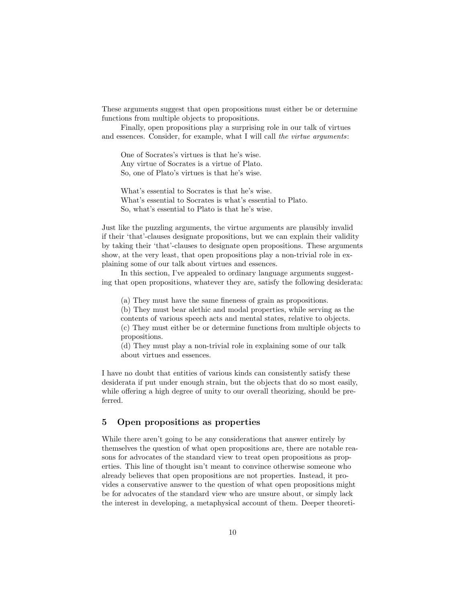These arguments suggest that open propositions must either be or determine functions from multiple objects to propositions.

Finally, open propositions play a surprising role in our talk of virtues and essences. Consider, for example, what I will call *the virtue arguments*:

One of Socrates's virtues is that he's wise. Any virtue of Socrates is a virtue of Plato. So, one of Plato's virtues is that he's wise.

What's essential to Socrates is that he's wise. What's essential to Socrates is what's essential to Plato. So, what's essential to Plato is that he's wise.

Just like the puzzling arguments, the virtue arguments are plausibly invalid if their 'that'-clauses designate propositions, but we can explain their validity by taking their 'that'-clauses to designate open propositions. These arguments show, at the very least, that open propositions play a non-trivial role in explaining some of our talk about virtues and essences.

In this section, I've appealed to ordinary language arguments suggesting that open propositions, whatever they are, satisfy the following desiderata:

(a) They must have the same fineness of grain as propositions.

(b) They must bear alethic and modal properties, while serving as the contents of various speech acts and mental states, relative to objects. (c) They must either be or determine functions from multiple objects to propositions.

(d) They must play a non-trivial role in explaining some of our talk about virtues and essences.

I have no doubt that entities of various kinds can consistently satisfy these desiderata if put under enough strain, but the objects that do so most easily, while offering a high degree of unity to our overall theorizing, should be preferred.

#### 5 Open propositions as properties

While there aren't going to be any considerations that answer entirely by themselves the question of what open propositions are, there are notable reasons for advocates of the standard view to treat open propositions as properties. This line of thought isn't meant to convince otherwise someone who already believes that open propositions are not properties. Instead, it provides a conservative answer to the question of what open propositions might be for advocates of the standard view who are unsure about, or simply lack the interest in developing, a metaphysical account of them. Deeper theoreti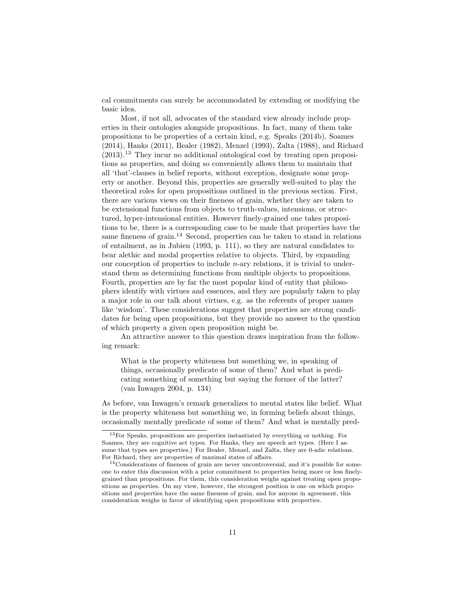cal commitments can surely be accommodated by extending or modifying the basic idea.

Most, if not all, advocates of the standard view already include properties in their ontologies alongside propositions. In fact, many of them take propositions to be properties of a certain kind, e.g. Speaks (2014b), Soames (2014), Hanks (2011), Bealer (1982), Menzel (1993), Zalta (1988), and Richard  $(2013).$ <sup>13</sup> They incur no additional ontological cost by treating open propositions as properties, and doing so conveniently allows them to maintain that all 'that'-clauses in belief reports, without exception, designate some property or another. Beyond this, properties are generally well-suited to play the theoretical roles for open propositions outlined in the previous section. First, there are various views on their fineness of grain, whether they are taken to be extensional functions from objects to truth-values, intensions, or structured, hyper-intensional entities. However finely-grained one takes propositions to be, there is a corresponding case to be made that properties have the same fineness of grain.<sup>14</sup> Second, properties can be taken to stand in relations of entailment, as in Jubien (1993, p. 111), so they are natural candidates to bear alethic and modal properties relative to objects. Third, by expanding our conception of properties to include *n*-ary relations, it is trivial to understand them as determining functions from multiple objects to propositions. Fourth, properties are by far the most popular kind of entity that philosophers identify with virtues and essences, and they are popularly taken to play a major role in our talk about virtues, e.g. as the referents of proper names like 'wisdom'. These considerations suggest that properties are strong candidates for being open propositions, but they provide no answer to the question of which property a given open proposition might be.

An attractive answer to this question draws inspiration from the following remark:

What is the property whiteness but something we, in speaking of things, occasionally predicate of some of them? And what is predicating something of something but saying the former of the latter? (van Inwagen 2004, p. 134)

As before, van Inwagen's remark generalizes to mental states like belief. What is the property whiteness but something we, in forming beliefs about things, occasionally mentally predicate of some of them? And what is mentally pred-

<sup>13</sup>For Speaks, propositions are properties instantiated by everything or nothing. For Soames, they are cognitive act types. For Hanks, they are speech act types. (Here I assume that types are properties.) For Bealer, Menzel, and Zalta, they are 0-adic relations. For Richard, they are properties of maximal states of affairs.

<sup>&</sup>lt;sup>14</sup>Considerations of fineness of grain are never uncontroversial, and it's possible for someone to enter this discussion with a prior commitment to properties being more or less finelygrained than propositions. For them, this consideration weighs against treating open propositions as properties. On my view, however, the strongest position is one on which propositions and properties have the same fineness of grain, and for anyone in agreement, this consideration weighs in favor of identifying open propositions with properties.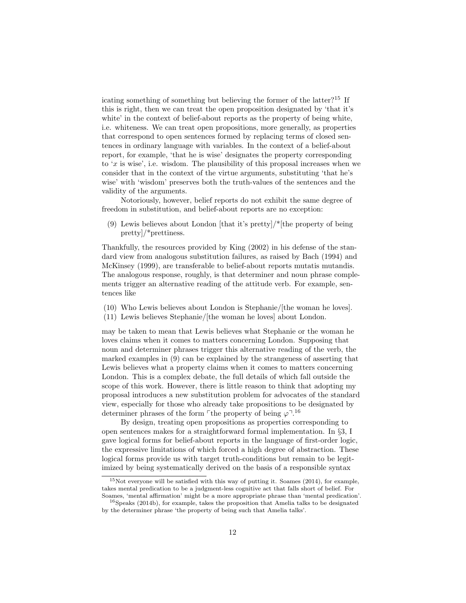icating something of something but believing the former of the latter?<sup>15</sup> If this is right, then we can treat the open proposition designated by 'that it's white' in the context of belief-about reports as the property of being white, i.e. whiteness. We can treat open propositions, more generally, as properties that correspond to open sentences formed by replacing terms of closed sentences in ordinary language with variables. In the context of a belief-about report, for example, 'that he is wise' designates the property corresponding to '*x* is wise', i.e. wisdom. The plausibility of this proposal increases when we consider that in the context of the virtue arguments, substituting 'that he's wise' with 'wisdom' preserves both the truth-values of the sentences and the validity of the arguments.

Notoriously, however, belief reports do not exhibit the same degree of freedom in substitution, and belief-about reports are no exception:

(9) Lewis believes about London [that it's pretty]/ $*$ [the property of being pretty]/\*prettiness.

Thankfully, the resources provided by King (2002) in his defense of the standard view from analogous substitution failures, as raised by Bach (1994) and McKinsey (1999), are transferable to belief-about reports mutatis mutandis. The analogous response, roughly, is that determiner and noun phrase complements trigger an alternative reading of the attitude verb. For example, sentences like

- (10) Who Lewis believes about London is Stephanie/[the woman he loves].
- (11) Lewis believes Stephanie/[the woman he loves] about London.

may be taken to mean that Lewis believes what Stephanie or the woman he loves claims when it comes to matters concerning London. Supposing that noun and determiner phrases trigger this alternative reading of the verb, the marked examples in (9) can be explained by the strangeness of asserting that Lewis believes what a property claims when it comes to matters concerning London. This is a complex debate, the full details of which fall outside the scope of this work. However, there is little reason to think that adopting my proposal introduces a new substitution problem for advocates of the standard view, especially for those who already take propositions to be designated by determiner phrases of the form <sup>r</sup>the property of being  $\varphi^{-1.16}$ 

By design, treating open propositions as properties corresponding to open sentences makes for a straightforward formal implementation. In *§*3, I gave logical forms for belief-about reports in the language of first-order logic, the expressive limitations of which forced a high degree of abstraction. These logical forms provide us with target truth-conditions but remain to be legitimized by being systematically derived on the basis of a responsible syntax

 $15$ Not everyone will be satisfied with this way of putting it. Soames (2014), for example, takes mental predication to be a judgment-less cognitive act that falls short of belief. For Soames, 'mental affirmation' might be a more appropriate phrase than 'mental predication'.

 $16$ Speaks (2014b), for example, takes the proposition that Amelia talks to be designated by the determiner phrase 'the property of being such that Amelia talks'.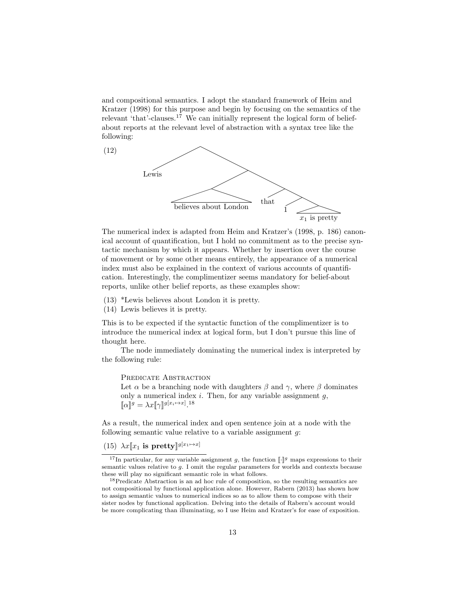and compositional semantics. I adopt the standard framework of Heim and Kratzer (1998) for this purpose and begin by focusing on the semantics of the relevant 'that'-clauses.<sup>17</sup> We can initially represent the logical form of beliefabout reports at the relevant level of abstraction with a syntax tree like the following:



The numerical index is adapted from Heim and Kratzer's (1998, p. 186) canonical account of quantification, but I hold no commitment as to the precise syntactic mechanism by which it appears. Whether by insertion over the course of movement or by some other means entirely, the appearance of a numerical index must also be explained in the context of various accounts of quantification. Interestingly, the complimentizer seems mandatory for belief-about reports, unlike other belief reports, as these examples show:

- (13) \*Lewis believes about London it is pretty.
- (14) Lewis believes it is pretty.

This is to be expected if the syntactic function of the complimentizer is to introduce the numerical index at logical form, but I don't pursue this line of thought here.

The node immediately dominating the numerical index is interpreted by the following rule:

#### PREDICATE ABSTRACTION

Let  $\alpha$  be a branching node with daughters  $\beta$  and  $\gamma$ , where  $\beta$  dominates only a numerical index *i*. Then, for any variable assignment *g*,  $[\![\alpha]\!]^g = \lambda x [\![\gamma]\!]^{g[x_i \mapsto x]}$ .<sup>18</sup>

As a result, the numerical index and open sentence join at a node with the following semantic value relative to a variable assignment *g*:

## (15)  $\lambda x \llbracket x_1 \text{ is pretty} \rrbracket^{g[x_1 \mapsto x]}$

<sup>&</sup>lt;sup>17</sup>In particular, for any variable assignment *g*, the function  $\llbracket \cdot \rrbracket^g$  maps expressions to their semantic values relative to *g*. I omit the regular parameters for worlds and contexts because these will play no significant semantic role in what follows.

<sup>18</sup>Predicate Abstraction is an ad hoc rule of composition, so the resulting semantics are not compositional by functional application alone. However, Rabern (2013) has shown how to assign semantic values to numerical indices so as to allow them to compose with their sister nodes by functional application. Delving into the details of Rabern's account would be more complicating than illuminating, so I use Heim and Kratzer's for ease of exposition.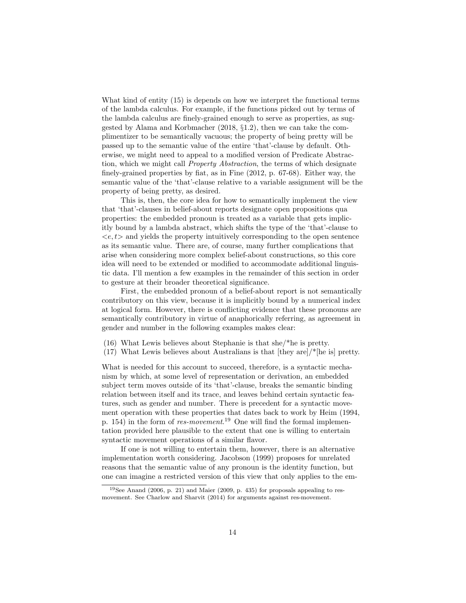What kind of entity (15) is depends on how we interpret the functional terms of the lambda calculus. For example, if the functions picked out by terms of the lambda calculus are finely-grained enough to serve as properties, as suggested by Alama and Korbmacher (2018, *§*1.2), then we can take the complimentizer to be semantically vacuous; the property of being pretty will be passed up to the semantic value of the entire 'that'-clause by default. Otherwise, we might need to appeal to a modified version of Predicate Abstraction, which we might call *Property Abstraction*, the terms of which designate finely-grained properties by fiat, as in Fine (2012, p. 67-68). Either way, the semantic value of the 'that'-clause relative to a variable assignment will be the property of being pretty, as desired.

This is, then, the core idea for how to semantically implement the view that 'that'-clauses in belief-about reports designate open propositions qua properties: the embedded pronoun is treated as a variable that gets implicitly bound by a lambda abstract, which shifts the type of the 'that'-clause to  $\langle e, t \rangle$  and yields the property intuitively corresponding to the open sentence as its semantic value. There are, of course, many further complications that arise when considering more complex belief-about constructions, so this core idea will need to be extended or modified to accommodate additional linguistic data. I'll mention a few examples in the remainder of this section in order to gesture at their broader theoretical significance.

First, the embedded pronoun of a belief-about report is not semantically contributory on this view, because it is implicitly bound by a numerical index at logical form. However, there is conflicting evidence that these pronouns are semantically contributory in virtue of anaphorically referring, as agreement in gender and number in the following examples makes clear:

- (16) What Lewis believes about Stephanie is that she/\*he is pretty.
- (17) What Lewis believes about Australians is that [they are]/\*[he is] pretty.

What is needed for this account to succeed, therefore, is a syntactic mechanism by which, at some level of representation or derivation, an embedded subject term moves outside of its 'that'-clause, breaks the semantic binding relation between itself and its trace, and leaves behind certain syntactic features, such as gender and number. There is precedent for a syntactic movement operation with these properties that dates back to work by Heim (1994, p. 154) in the form of *res-movement*. <sup>19</sup> One will find the formal implementation provided here plausible to the extent that one is willing to entertain syntactic movement operations of a similar flavor.

If one is not willing to entertain them, however, there is an alternative implementation worth considering. Jacobson (1999) proposes for unrelated reasons that the semantic value of any pronoun is the identity function, but one can imagine a restricted version of this view that only applies to the em-

<sup>19</sup>See Anand (2006, p. 21) and Maier (2009, p. 435) for proposals appealing to resmovement. See Charlow and Sharvit (2014) for arguments against res-movement.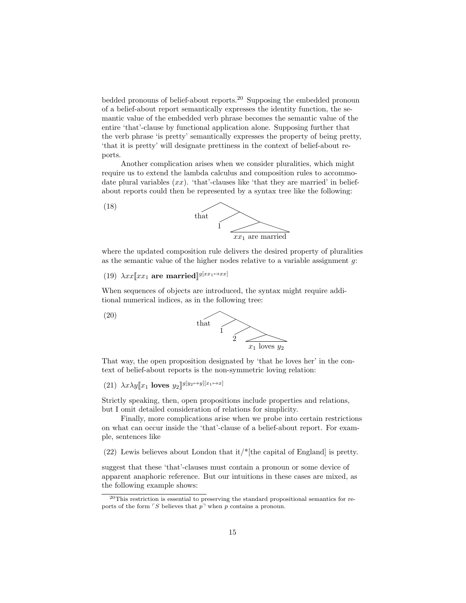bedded pronouns of belief-about reports.<sup>20</sup> Supposing the embedded pronoun of a belief-about report semantically expresses the identity function, the semantic value of the embedded verb phrase becomes the semantic value of the entire 'that'-clause by functional application alone. Supposing further that the verb phrase 'is pretty' semantically expresses the property of being pretty, 'that it is pretty' will designate prettiness in the context of belief-about reports.

Another complication arises when we consider pluralities, which might require us to extend the lambda calculus and composition rules to accommodate plural variables  $(xx)$ . 'that'-clauses like 'that they are married' in beliefabout reports could then be represented by a syntax tree like the following:



where the updated composition rule delivers the desired property of pluralities as the semantic value of the higher nodes relative to a variable assignment *g*:

(19)  $\lambda xx$ [ $xx_1$  are married]<sup>[g[ $xx_1 \rightarrow xx$ ]</sup>

When sequences of objects are introduced, the syntax might require additional numerical indices, as in the following tree:



That way, the open proposition designated by 'that he loves her' in the context of belief-about reports is the non-symmetric loving relation:

 $(21)$   $\lambda x \lambda y \llbracket x_1 \text{loves } y_2 \rrbracket^{g[y_2 \mapsto y][x_1 \mapsto x]}$ 

Strictly speaking, then, open propositions include properties and relations, but I omit detailed consideration of relations for simplicity.

Finally, more complications arise when we probe into certain restrictions on what can occur inside the 'that'-clause of a belief-about report. For example, sentences like

(22) Lewis believes about London that it/\*[the capital of England] is pretty.

suggest that these 'that'-clauses must contain a pronoun or some device of apparent anaphoric reference. But our intuitions in these cases are mixed, as the following example shows:

<sup>20</sup>This restriction is essential to preserving the standard propositional semantics for reports of the form  $\ulcorner S$  believes that  $p\urcorner$  when *p* contains a pronoun.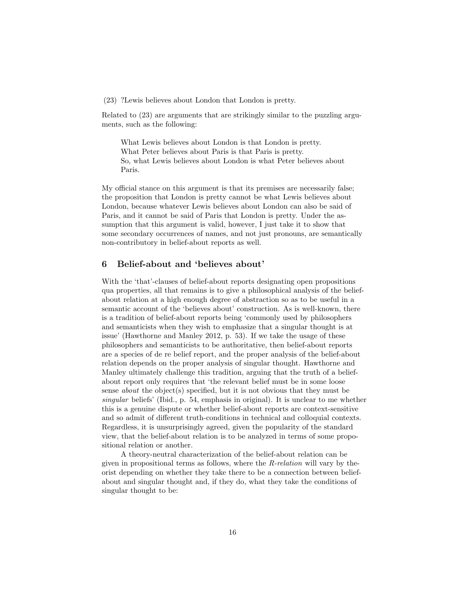(23) ?Lewis believes about London that London is pretty.

Related to (23) are arguments that are strikingly similar to the puzzling arguments, such as the following:

What Lewis believes about London is that London is pretty. What Peter believes about Paris is that Paris is pretty. So, what Lewis believes about London is what Peter believes about Paris.

My official stance on this argument is that its premises are necessarily false; the proposition that London is pretty cannot be what Lewis believes about London, because whatever Lewis believes about London can also be said of Paris, and it cannot be said of Paris that London is pretty. Under the assumption that this argument is valid, however, I just take it to show that some secondary occurrences of names, and not just pronouns, are semantically non-contributory in belief-about reports as well.

#### 6 Belief-about and 'believes about'

With the 'that'-clauses of belief-about reports designating open propositions qua properties, all that remains is to give a philosophical analysis of the beliefabout relation at a high enough degree of abstraction so as to be useful in a semantic account of the 'believes about' construction. As is well-known, there is a tradition of belief-about reports being 'commonly used by philosophers and semanticists when they wish to emphasize that a singular thought is at issue' (Hawthorne and Manley 2012, p. 53). If we take the usage of these philosophers and semanticists to be authoritative, then belief-about reports are a species of de re belief report, and the proper analysis of the belief-about relation depends on the proper analysis of singular thought. Hawthorne and Manley ultimately challenge this tradition, arguing that the truth of a beliefabout report only requires that 'the relevant belief must be in some loose sense *about* the object(s) specified, but it is not obvious that they must be *singular* beliefs' (Ibid., p. 54, emphasis in original). It is unclear to me whether this is a genuine dispute or whether belief-about reports are context-sensitive and so admit of different truth-conditions in technical and colloquial contexts. Regardless, it is unsurprisingly agreed, given the popularity of the standard view, that the belief-about relation is to be analyzed in terms of some propositional relation or another.

A theory-neutral characterization of the belief-about relation can be given in propositional terms as follows, where the *R-relation* will vary by theorist depending on whether they take there to be a connection between beliefabout and singular thought and, if they do, what they take the conditions of singular thought to be: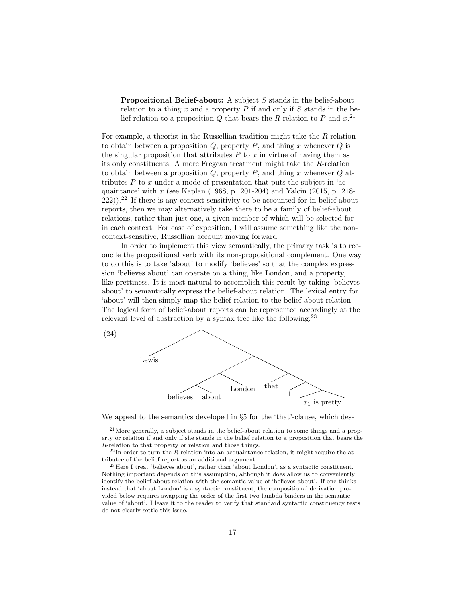Propositional Belief-about: A subject *S* stands in the belief-about relation to a thing *x* and a property *P* if and only if *S* stands in the belief relation to a proposition *Q* that bears the *R*-relation to *P* and *x*. 21

For example, a theorist in the Russellian tradition might take the *R*-relation to obtain between a proposition *Q*, property *P*, and thing *x* whenever *Q* is the singular proposition that attributes *P* to *x* in virtue of having them as its only constituents. A more Fregean treatment might take the *R*-relation to obtain between a proposition *Q*, property *P*, and thing *x* whenever *Q* attributes  $P$  to  $x$  under a mode of presentation that puts the subject in 'acquaintance' with *x* (see Kaplan (1968, p. 201-204) and Yalcin (2015, p. 218-  $(222)$ ).<sup>22</sup> If there is any context-sensitivity to be accounted for in belief-about reports, then we may alternatively take there to be a family of belief-about relations, rather than just one, a given member of which will be selected for in each context. For ease of exposition, I will assume something like the noncontext-sensitive, Russellian account moving forward.

In order to implement this view semantically, the primary task is to reconcile the propositional verb with its non-propositional complement. One way to do this is to take 'about' to modify 'believes' so that the complex expression 'believes about' can operate on a thing, like London, and a property, like prettiness. It is most natural to accomplish this result by taking 'believes about' to semantically express the belief-about relation. The lexical entry for 'about' will then simply map the belief relation to the belief-about relation. The logical form of belief-about reports can be represented accordingly at the relevant level of abstraction by a syntax tree like the following: $^{23}$ 



We appeal to the semantics developed in *§*5 for the 'that'-clause, which des-

<sup>21</sup>More generally, a subject stands in the belief-about relation to some things and a property or relation if and only if she stands in the belief relation to a proposition that bears the *R*-relation to that property or relation and those things.

<sup>&</sup>lt;sup>22</sup>In order to turn the *R*-relation into an acquaintance relation, it might require the attributee of the belief report as an additional argument.

<sup>23</sup>Here I treat 'believes about', rather than 'about London', as a syntactic constituent. Nothing important depends on this assumption, although it does allow us to conveniently identify the belief-about relation with the semantic value of 'believes about'. If one thinks instead that 'about London' is a syntactic constituent, the compositional derivation provided below requires swapping the order of the first two lambda binders in the semantic value of 'about'. I leave it to the reader to verify that standard syntactic constituency tests do not clearly settle this issue.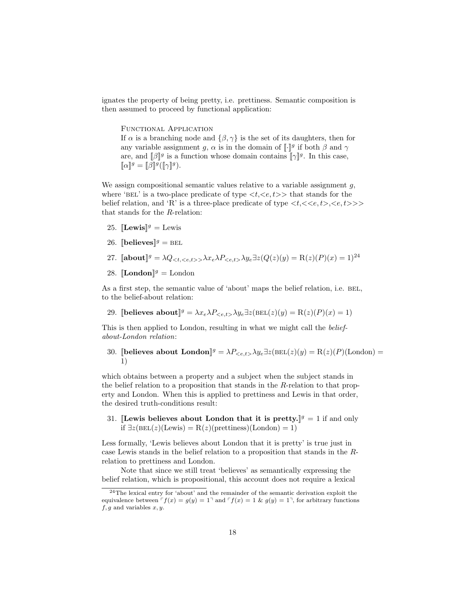ignates the property of being pretty, i.e. prettiness. Semantic composition is then assumed to proceed by functional application:

Functional Application If  $\alpha$  is a branching node and  $\{\beta, \gamma\}$  is the set of its daughters, then for any variable assignment *g*,  $\alpha$  is in the domain of  $\llbracket \cdot \rrbracket^g$  if both  $\beta$  and  $\gamma$ are, and  $[\![\beta]\!]^g$  is a function whose domain contains  $[\![\gamma]\!]^g$ . In this case,  $\llbracket \alpha \rrbracket^g = \llbracket \beta \rrbracket^g (\llbracket \gamma \rrbracket^g).$ 

We assign compositional semantic values relative to a variable assignment *g*, where 'BEL' is a two-place predicate of type  $\langle t, \langle e, t \rangle \rangle$  that stands for the belief relation, and 'R' is a three-place predicate of type  $\langle t, \langle \langle e, t \rangle, \langle e, t \rangle \rangle$ that stands for the *R*-relation:

- 25.  $\mathbb{L}$ **Elewis** $\mathbb{I}^g$  = Lewis
- 26.  $\|\text{believes}\|^g = \text{BEL}$
- 27.  $\left[\text{about}\right]^g = \lambda Q_{\leq t, \leq e, t > \lambda} \lambda x_e \lambda P_{\leq e, t > \lambda} y_e \exists z (Q(z)(y) = R(z)(P)(x) = 1)^{24}$
- 28.  $\llbracket$ **London** $\rrbracket$ <sup>*g*</sup> = London

As a first step, the semantic value of 'about' maps the belief relation, i.e. BEL, to the belief-about relation:

29. [believes about]<sup>g</sup> =  $\lambda x_e \lambda P_{\leq e,t} \lambda y_e \exists z(\text{BEL}(z)(y) = R(z)(P)(x) = 1)$ 

This is then applied to London, resulting in what we might call the *beliefabout-London relation*:

30. [believes about London] $g = \lambda P_{\leq e,t} \lambda y_e \exists z (\text{BEL}(z)(y) = R(z)(P)(\text{London}) =$ 1)

which obtains between a property and a subject when the subject stands in the belief relation to a proposition that stands in the *R*-relation to that property and London. When this is applied to prettiness and Lewis in that order, the desired truth-conditions result:

31. **Lewis believes about London that it is pretty.**  $\mathbb{I}^g = 1$  if and only if  $\exists z(\text{BEL}(z)(\text{Lewis}) = R(z)(\text{prettness})(\text{London}) = 1)$ 

Less formally, 'Lewis believes about London that it is pretty' is true just in case Lewis stands in the belief relation to a proposition that stands in the *R*relation to prettiness and London.

Note that since we still treat 'believes' as semantically expressing the belief relation, which is propositional, this account does not require a lexical

<sup>&</sup>lt;sup>24</sup>The lexical entry for 'about' and the remainder of the semantic derivation exploit the equivalence between  $\ulcorner f(x) = g(y) = 1 \urcorner$  and  $\ulcorner f(x) = 1 \& g(y) = 1 \urcorner$ , for arbitrary functions *f, g* and variables *x, y*.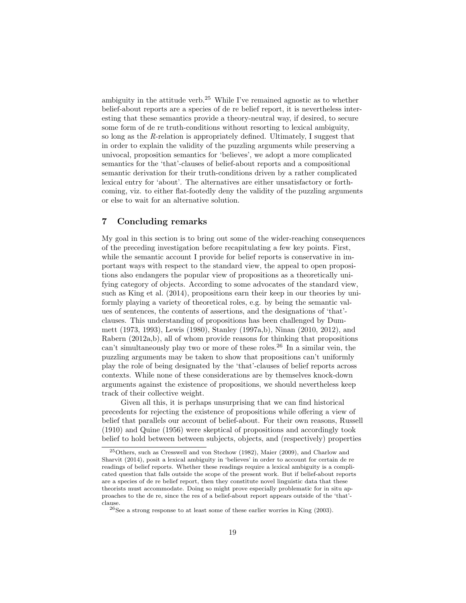ambiguity in the attitude verb.<sup>25</sup> While I've remained agnostic as to whether belief-about reports are a species of de re belief report, it is nevertheless interesting that these semantics provide a theory-neutral way, if desired, to secure some form of de re truth-conditions without resorting to lexical ambiguity, so long as the *R*-relation is appropriately defined. Ultimately, I suggest that in order to explain the validity of the puzzling arguments while preserving a univocal, proposition semantics for 'believes', we adopt a more complicated semantics for the 'that'-clauses of belief-about reports and a compositional semantic derivation for their truth-conditions driven by a rather complicated lexical entry for 'about'. The alternatives are either unsatisfactory or forthcoming, viz. to either flat-footedly deny the validity of the puzzling arguments or else to wait for an alternative solution.

### 7 Concluding remarks

My goal in this section is to bring out some of the wider-reaching consequences of the preceding investigation before recapitulating a few key points. First, while the semantic account I provide for belief reports is conservative in important ways with respect to the standard view, the appeal to open propositions also endangers the popular view of propositions as a theoretically unifying category of objects. According to some advocates of the standard view, such as King et al. (2014), propositions earn their keep in our theories by uniformly playing a variety of theoretical roles, e.g. by being the semantic values of sentences, the contents of assertions, and the designations of 'that' clauses. This understanding of propositions has been challenged by Dummett (1973, 1993), Lewis (1980), Stanley (1997a,b), Ninan (2010, 2012), and Rabern (2012a,b), all of whom provide reasons for thinking that propositions can't simultaneously play two or more of these roles.<sup>26</sup> In a similar vein, the puzzling arguments may be taken to show that propositions can't uniformly play the role of being designated by the 'that'-clauses of belief reports across contexts. While none of these considerations are by themselves knock-down arguments against the existence of propositions, we should nevertheless keep track of their collective weight.

Given all this, it is perhaps unsurprising that we can find historical precedents for rejecting the existence of propositions while offering a view of belief that parallels our account of belief-about. For their own reasons, Russell (1910) and Quine (1956) were skeptical of propositions and accordingly took belief to hold between between subjects, objects, and (respectively) properties

<sup>25</sup>Others, such as Cresswell and von Stechow (1982), Maier (2009), and Charlow and Sharvit (2014), posit a lexical ambiguity in 'believes' in order to account for certain de re readings of belief reports. Whether these readings require a lexical ambiguity is a complicated question that falls outside the scope of the present work. But if belief-about reports are a species of de re belief report, then they constitute novel linguistic data that these theorists must accommodate. Doing so might prove especially problematic for in situ approaches to the de re, since the res of a belief-about report appears outside of the 'that' clause.

 $^{26}\rm{See}$  a strong response to at least some of these earlier worries in King (2003).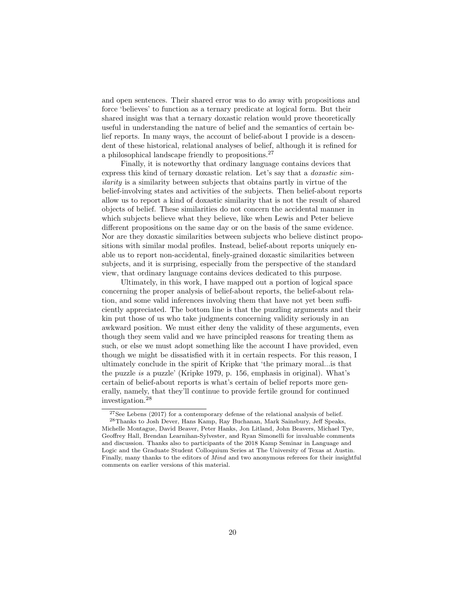and open sentences. Their shared error was to do away with propositions and force 'believes' to function as a ternary predicate at logical form. But their shared insight was that a ternary doxastic relation would prove theoretically useful in understanding the nature of belief and the semantics of certain belief reports. In many ways, the account of belief-about I provide is a descendent of these historical, relational analyses of belief, although it is refined for a philosophical landscape friendly to propositions.<sup>27</sup>

Finally, it is noteworthy that ordinary language contains devices that express this kind of ternary doxastic relation. Let's say that a *doxastic similarity* is a similarity between subjects that obtains partly in virtue of the belief-involving states and activities of the subjects. Then belief-about reports allow us to report a kind of doxastic similarity that is not the result of shared objects of belief. These similarities do not concern the accidental manner in which subjects believe what they believe, like when Lewis and Peter believe different propositions on the same day or on the basis of the same evidence. Nor are they doxastic similarities between subjects who believe distinct propositions with similar modal profiles. Instead, belief-about reports uniquely enable us to report non-accidental, finely-grained doxastic similarities between subjects, and it is surprising, especially from the perspective of the standard view, that ordinary language contains devices dedicated to this purpose.

Ultimately, in this work, I have mapped out a portion of logical space concerning the proper analysis of belief-about reports, the belief-about relation, and some valid inferences involving them that have not yet been sufficiently appreciated. The bottom line is that the puzzling arguments and their kin put those of us who take judgments concerning validity seriously in an awkward position. We must either deny the validity of these arguments, even though they seem valid and we have principled reasons for treating them as such, or else we must adopt something like the account I have provided, even though we might be dissatisfied with it in certain respects. For this reason, I ultimately conclude in the spirit of Kripke that 'the primary moral...is that the puzzle *is* a puzzle' (Kripke 1979, p. 156, emphasis in original). What's certain of belief-about reports is what's certain of belief reports more generally, namely, that they'll continue to provide fertile ground for continued investigation.<sup>28</sup>

 $27$ See Lebens (2017) for a contemporary defense of the relational analysis of belief.  $^{28}$ Thanks to Josh Dever, Hans Kamp, Ray Buchanan, Mark Sainsbury, Jeff Speaks, Michelle Montague, David Beaver, Peter Hanks, Jon Litland, John Beavers, Michael Tye, Geoffrey Hall, Brendan Learnihan-Sylvester, and Ryan Simonelli for invaluable comments and discussion. Thanks also to participants of the 2018 Kamp Seminar in Language and Logic and the Graduate Student Colloquium Series at The University of Texas at Austin. Finally, many thanks to the editors of *Mind* and two anonymous referees for their insightful comments on earlier versions of this material.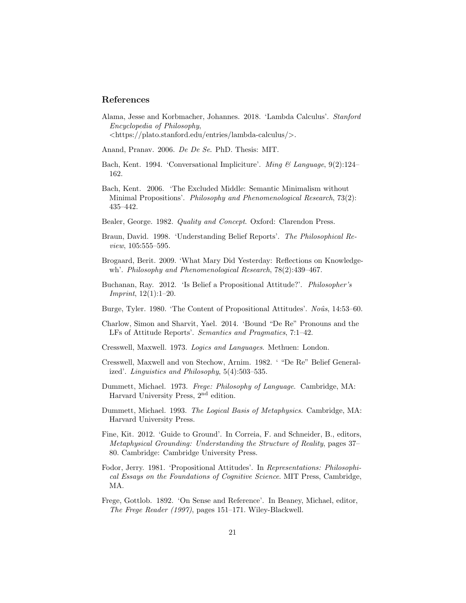#### References

Alama, Jesse and Korbmacher, Johannes. 2018. 'Lambda Calculus'. *Stanford Encyclopedia of Philosophy*, *<*https://plato.stanford.edu/entries/lambda-calculus/*>*.

Anand, Pranav. 2006. *De De Se*. PhD. Thesis: MIT.

- Bach, Kent. 1994. 'Conversational Impliciture'. *Ming & Language*, 9(2):124– 162.
- Bach, Kent. 2006. 'The Excluded Middle: Semantic Minimalism without Minimal Propositions'. *Philosophy and Phenomenological Research*, 73(2): 435–442.
- Bealer, George. 1982. *Quality and Concept*. Oxford: Clarendon Press.
- Braun, David. 1998. 'Understanding Belief Reports'. *The Philosophical Review*, 105:555-595.
- Brogaard, Berit. 2009. 'What Mary Did Yesterday: Reflections on Knowledgewh'. *Philosophy and Phenomenological Research*, 78(2):439–467.
- Buchanan, Ray. 2012. 'Is Belief a Propositional Attitude?'. *Philosopher's Imprint*, 12(1):1–20.
- Burge, Tyler. 1980. 'The Content of Propositional Attitudes'. *Noûs*, 14:53–60.
- Charlow, Simon and Sharvit, Yael. 2014. 'Bound "De Re" Pronouns and the LFs of Attitude Reports'. *Semantics and Pragmatics*, 7:1–42.
- Cresswell, Maxwell. 1973. *Logics and Languages*. Methuen: London.
- Cresswell, Maxwell and von Stechow, Arnim. 1982. ' "De Re" Belief Generalized'. *Linguistics and Philosophy*, 5(4):503–535.
- Dummett, Michael. 1973. *Frege: Philosophy of Language*. Cambridge, MA: Harvard University Press, 2nd edition.
- Dummett, Michael. 1993. *The Logical Basis of Metaphysics*. Cambridge, MA: Harvard University Press.
- Fine, Kit. 2012. 'Guide to Ground'. In Correia, F. and Schneider, B., editors, *Metaphysical Grounding: Understanding the Structure of Reality*, pages 37– 80. Cambridge: Cambridge University Press.
- Fodor, Jerry. 1981. 'Propositional Attitudes'. In *Representations: Philosophical Essays on the Foundations of Cognitive Science*. MIT Press, Cambridge, MA.
- Frege, Gottlob. 1892. 'On Sense and Reference'. In Beaney, Michael, editor, *The Frege Reader (1997)*, pages 151–171. Wiley-Blackwell.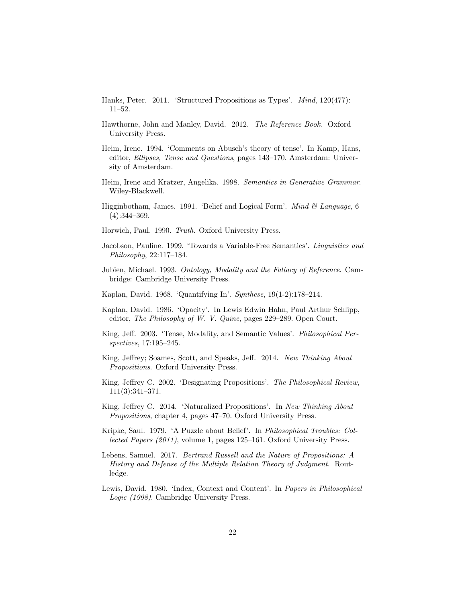- Hanks, Peter. 2011. 'Structured Propositions as Types'. *Mind*, 120(477): 11–52.
- Hawthorne, John and Manley, David. 2012. *The Reference Book*. Oxford University Press.
- Heim, Irene. 1994. 'Comments on Abusch's theory of tense'. In Kamp, Hans, editor, *Ellipses, Tense and Questions*, pages 143–170. Amsterdam: University of Amsterdam.
- Heim, Irene and Kratzer, Angelika. 1998. *Semantics in Generative Grammar*. Wiley-Blackwell.
- Higginbotham, James. 1991. 'Belief and Logical Form'. *Mind & Language*, 6 (4):344–369.
- Horwich, Paul. 1990. *Truth*. Oxford University Press.
- Jacobson, Pauline. 1999. 'Towards a Variable-Free Semantics'. *Linguistics and Philosophy*, 22:117–184.
- Jubien, Michael. 1993. *Ontology, Modality and the Fallacy of Reference*. Cambridge: Cambridge University Press.
- Kaplan, David. 1968. 'Quantifying In'. *Synthese*, 19(1-2):178–214.
- Kaplan, David. 1986. 'Opacity'. In Lewis Edwin Hahn, Paul Arthur Schlipp, editor, *The Philosophy of W. V. Quine*, pages 229–289. Open Court.
- King, Jeff. 2003. 'Tense, Modality, and Semantic Values'. *Philosophical Perspectives*, 17:195–245.
- King, Jeffrey; Soames, Scott, and Speaks, Jeff. 2014. New Thinking About *Propositions*. Oxford University Press.
- King, Jeffrey C. 2002. 'Designating Propositions'. *The Philosophical Review*, 111(3):341–371.
- King, Jeffrey C. 2014. 'Naturalized Propositions'. In *New Thinking About Propositions*, chapter 4, pages 47–70. Oxford University Press.
- Kripke, Saul. 1979. 'A Puzzle about Belief'. In *Philosophical Troubles: Collected Papers (2011)*, volume 1, pages 125–161. Oxford University Press.
- Lebens, Samuel. 2017. *Bertrand Russell and the Nature of Propositions: A History and Defense of the Multiple Relation Theory of Judgment*. Routledge.
- Lewis, David. 1980. 'Index, Context and Content'. In *Papers in Philosophical Logic (1998)*. Cambridge University Press.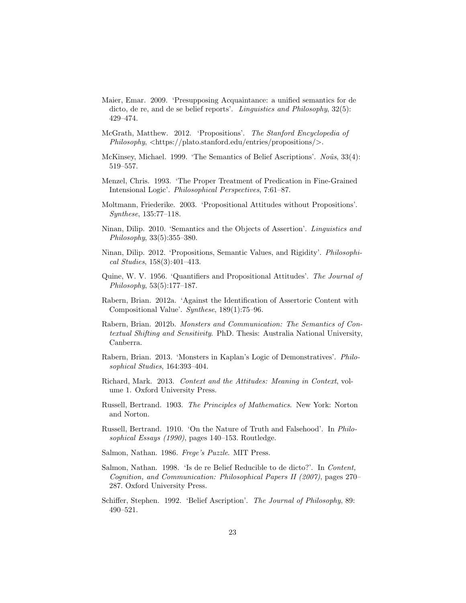- Maier, Emar. 2009. 'Presupposing Acquaintance: a unified semantics for de dicto, de re, and de se belief reports'. *Linguistics and Philosophy*, 32(5): 429–474.
- McGrath, Matthew. 2012. 'Propositions'. *The Stanford Encyclopedia of Philosophy*, *<*https://plato.stanford.edu/entries/propositions/*>*.
- McKinsey, Michael. 1999. 'The Semantics of Belief Ascriptions'. *Noûs*, 33(4): 519–557.
- Menzel, Chris. 1993. 'The Proper Treatment of Predication in Fine-Grained Intensional Logic'. *Philosophical Perspectives*, 7:61–87.
- Moltmann, Friederike. 2003. 'Propositional Attitudes without Propositions'. *Synthese*, 135:77–118.
- Ninan, Dilip. 2010. 'Semantics and the Objects of Assertion'. *Linguistics and Philosophy*, 33(5):355–380.
- Ninan, Dilip. 2012. 'Propositions, Semantic Values, and Rigidity'. *Philosophical Studies*, 158(3):401–413.
- Quine, W. V. 1956. 'Quantifiers and Propositional Attitudes'. *The Journal of Philosophy*, 53(5):177–187.
- Rabern, Brian. 2012a. 'Against the Identification of Assertoric Content with Compositional Value'. *Synthese*, 189(1):75–96.
- Rabern, Brian. 2012b. *Monsters and Communication: The Semantics of Contextual Shifting and Sensitivity*. PhD. Thesis: Australia National University, Canberra.
- Rabern, Brian. 2013. 'Monsters in Kaplan's Logic of Demonstratives'. *Philosophical Studies*, 164:393–404.
- Richard, Mark. 2013. *Context and the Attitudes: Meaning in Context*, volume 1. Oxford University Press.
- Russell, Bertrand. 1903. *The Principles of Mathematics*. New York: Norton and Norton.
- Russell, Bertrand. 1910. 'On the Nature of Truth and Falsehood'. In *Philosophical Essays (1990)*, pages 140–153. Routledge.
- Salmon, Nathan. 1986. *Frege's Puzzle*. MIT Press.
- Salmon, Nathan. 1998. 'Is de re Belief Reducible to de dicto?'. In *Content, Cognition, and Communication: Philosophical Papers II (2007)*, pages 270– 287. Oxford University Press.
- Schiffer, Stephen. 1992. 'Belief Ascription'. *The Journal of Philosophy*, 89: 490–521.